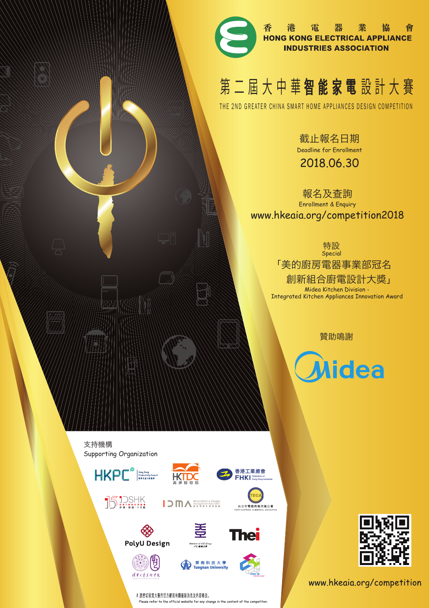

香港電器業協會<br>HONG KONG ELECTRICAL APPLIANCE 會 **INDUSTRIES ASSOCIATION** 

# 第二屆大中華智能家電設計大賽

THE 2ND GREATER CHINA SMART HOME APPLIANCES DESIGN COMPETITION

截止報名日期 Deadline for Enrollment 2018.06.30

報名及查詢 Enrollment & Enquiry www.hkeaia.org/competition2018

> 特設 「美的廚房電器事業部冠名 創新組合廚電設計大獎」 Special Midea Kitchen Division - Integrated Kitchen Appliances Innovation Award

> > 贊助鳴謝

**Midea** 

Supporting Organization 支持機構























東 南 科 技 大 學<br>Tungnan University





www.hkeaia.org/competition

# 請密切留意大賽的官方網頁有關最新消息及內容修改。 Please refer to the official website for any change in the content of the competitor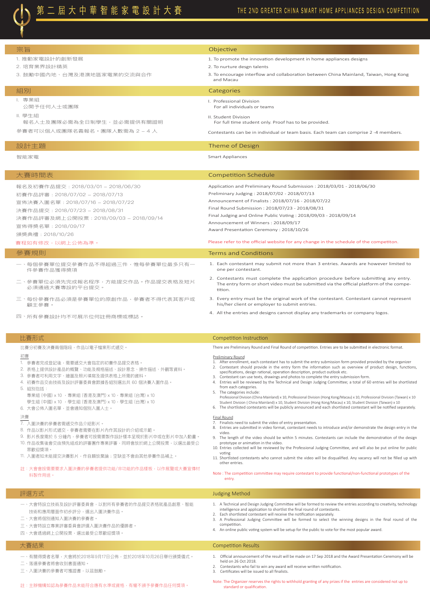第二屆大中華智能家電設計大賽

# THE 2ND GREATER CHINA SMART HOME APPLIANCES DESIGN COMPETITION

| 宗旨                                                                                                                                                                                                                                                                                                      | Objective                                                                                                                                                                                                                                                                                                                                                                                                                                                                                                                                                                                                                                                                                                                                                                                                                                                                                                                                                                                      |
|---------------------------------------------------------------------------------------------------------------------------------------------------------------------------------------------------------------------------------------------------------------------------------------------------------|------------------------------------------------------------------------------------------------------------------------------------------------------------------------------------------------------------------------------------------------------------------------------------------------------------------------------------------------------------------------------------------------------------------------------------------------------------------------------------------------------------------------------------------------------------------------------------------------------------------------------------------------------------------------------------------------------------------------------------------------------------------------------------------------------------------------------------------------------------------------------------------------------------------------------------------------------------------------------------------------|
| 1. 推動家電設計的創新發展                                                                                                                                                                                                                                                                                          | 1. To promote the innovation development in home appliances designs                                                                                                                                                                                                                                                                                                                                                                                                                                                                                                                                                                                                                                                                                                                                                                                                                                                                                                                            |
| 2. 培育業界設計精英                                                                                                                                                                                                                                                                                             | 2. To nurture desgn talents                                                                                                                                                                                                                                                                                                                                                                                                                                                                                                                                                                                                                                                                                                                                                                                                                                                                                                                                                                    |
| 3. 鼓勵中國內地、台灣及港澳地區家電業的交流與合作                                                                                                                                                                                                                                                                              | 3. To encourage interflow and collaboration between China Mainland, Taiwan, Hong Kong<br>and Macau                                                                                                                                                                                                                                                                                                                                                                                                                                                                                                                                                                                                                                                                                                                                                                                                                                                                                             |
| 組別                                                                                                                                                                                                                                                                                                      | Categories                                                                                                                                                                                                                                                                                                                                                                                                                                                                                                                                                                                                                                                                                                                                                                                                                                                                                                                                                                                     |
| I. 專業組<br>公開予任何人士或團隊                                                                                                                                                                                                                                                                                    | I. Professional Division<br>For all individuals or teams                                                                                                                                                                                                                                                                                                                                                                                                                                                                                                                                                                                                                                                                                                                                                                                                                                                                                                                                       |
| Ⅱ. 學生組<br>報名人士及團隊必需為全日制學生,並必需提供有關證明                                                                                                                                                                                                                                                                     | II. Student Division<br>For full time student only. Proof has to be provided.                                                                                                                                                                                                                                                                                                                                                                                                                                                                                                                                                                                                                                                                                                                                                                                                                                                                                                                  |
| 參賽者可以個人或團隊名義報名。團隊人數需為 2 – 4 人                                                                                                                                                                                                                                                                           | Contestants can be in individual or team basis. Each team can comprise 2 -4 members.                                                                                                                                                                                                                                                                                                                                                                                                                                                                                                                                                                                                                                                                                                                                                                                                                                                                                                           |
| 設計主題                                                                                                                                                                                                                                                                                                    | Theme of Design                                                                                                                                                                                                                                                                                                                                                                                                                                                                                                                                                                                                                                                                                                                                                                                                                                                                                                                                                                                |
| 智能家電                                                                                                                                                                                                                                                                                                    | <b>Smart Appliances</b>                                                                                                                                                                                                                                                                                                                                                                                                                                                                                                                                                                                                                                                                                                                                                                                                                                                                                                                                                                        |
| 大賽時間表                                                                                                                                                                                                                                                                                                   | <b>Competition Schedule</b>                                                                                                                                                                                                                                                                                                                                                                                                                                                                                                                                                                                                                                                                                                                                                                                                                                                                                                                                                                    |
| 報名及初賽作品提交: 2018/03/01 - 2018/06/30                                                                                                                                                                                                                                                                      | Application and Preliminary Round Submission: 2018/03/01 - 2018/06/30                                                                                                                                                                                                                                                                                                                                                                                                                                                                                                                                                                                                                                                                                                                                                                                                                                                                                                                          |
| 初賽作品評審: 2018/07/02 - 2018/07/13                                                                                                                                                                                                                                                                         | Preliminary Judging: 2018/07/02 - 2018/07/13                                                                                                                                                                                                                                                                                                                                                                                                                                                                                                                                                                                                                                                                                                                                                                                                                                                                                                                                                   |
| 宣佈決賽入圍名單: 2018/07/16 - 2018/07/22                                                                                                                                                                                                                                                                       | Announcement of Finalists: 2018/07/16 - 2018/07/22<br>Final Round Submission: 2018/07/23 - 2018/08/31                                                                                                                                                                                                                                                                                                                                                                                                                                                                                                                                                                                                                                                                                                                                                                                                                                                                                          |
| 決賽作品提交: 2018/07/23 - 2018/08/31                                                                                                                                                                                                                                                                         | Final Judging and Online Public Voting: 2018/09/03 - 2018/09/14                                                                                                                                                                                                                                                                                                                                                                                                                                                                                                                                                                                                                                                                                                                                                                                                                                                                                                                                |
| 決賽作品評審及網上公開投票: 2018/09/03 - 2018/09/14                                                                                                                                                                                                                                                                  | Announcement of Winners: 2018/09/17                                                                                                                                                                                                                                                                                                                                                                                                                                                                                                                                                                                                                                                                                                                                                                                                                                                                                                                                                            |
| 宣佈得獎名單: 2018/09/17                                                                                                                                                                                                                                                                                      | Award Presentation Ceremony: 2018/10/26                                                                                                                                                                                                                                                                                                                                                                                                                                                                                                                                                                                                                                                                                                                                                                                                                                                                                                                                                        |
| 頒獎典禮: 2018/10/26<br>賽程如有修改,以網上公佈為準。                                                                                                                                                                                                                                                                     | Please refer to the official website for any change in the schedule of the competiton.                                                                                                                                                                                                                                                                                                                                                                                                                                                                                                                                                                                                                                                                                                                                                                                                                                                                                                         |
| 參賽規則                                                                                                                                                                                                                                                                                                    | <b>Terms and Conditions</b>                                                                                                                                                                                                                                                                                                                                                                                                                                                                                                                                                                                                                                                                                                                                                                                                                                                                                                                                                                    |
| 一、每個參賽單位提交參賽作品不得超過三件,惟每參賽單位最多只有一<br>件參賽作品獲得獎項                                                                                                                                                                                                                                                           | 1. Each contestant may submit not more than 3 entries. Awards are however limited to<br>one per contestant.                                                                                                                                                                                                                                                                                                                                                                                                                                                                                                                                                                                                                                                                                                                                                                                                                                                                                    |
| 二、參賽單位必須先完成報名程序,方能提交作品。作品提交表格及短片<br>必須通過大賽專設的平台提交。                                                                                                                                                                                                                                                      | 2. Contestants must complete the application procedure before submitting any entry.<br>The entry form or short video must be submitted via the official platform of the compe-<br>tition.                                                                                                                                                                                                                                                                                                                                                                                                                                                                                                                                                                                                                                                                                                                                                                                                      |
| 三、每份參賽作品必須是參賽單位的原創作品,參賽者不得代表其客戶或<br>顧主參賽。                                                                                                                                                                                                                                                               | 3. Every entry must be the original work of the contestant. Contestant cannot represent<br>his/her client or employer to submit entries.                                                                                                                                                                                                                                                                                                                                                                                                                                                                                                                                                                                                                                                                                                                                                                                                                                                       |
| 四、所有參賽設計均不可展示位何註冊商標或標誌。                                                                                                                                                                                                                                                                                 | 4. All the entries and designs cannot display any trademarks or company logos.                                                                                                                                                                                                                                                                                                                                                                                                                                                                                                                                                                                                                                                                                                                                                                                                                                                                                                                 |
|                                                                                                                                                                                                                                                                                                         |                                                                                                                                                                                                                                                                                                                                                                                                                                                                                                                                                                                                                                                                                                                                                                                                                                                                                                                                                                                                |
| 比賽形式<br>比賽分初賽及決賽兩個階段,作品以電子檔案形式遞交。                                                                                                                                                                                                                                                                       | Competition Instruction<br>There are Preliminary Round and Final Round of competition. Entries are to be submitted in electronic format.                                                                                                                                                                                                                                                                                                                                                                                                                                                                                                                                                                                                                                                                                                                                                                                                                                                       |
|                                                                                                                                                                                                                                                                                                         |                                                                                                                                                                                                                                                                                                                                                                                                                                                                                                                                                                                                                                                                                                                                                                                                                                                                                                                                                                                                |
| 初賽<br>1. 參賽者完成登記後,需要遞交大會指定的初賽作品提交表格。<br>2. 表格上提供設計產品的概覽、功能及規格描述、設計意念、操作描述、外觀等資料。<br>3. 參賽者可利用文字、繪圖及照片填寫及提供表格上所需的資料。<br>4. 初賽作品交由技術及設計評審委員會跟據各組別選出共 60 個決賽入圍作品。<br>5. 組別包括:<br>專業組 (中國) x 10 ,專業組 (香港及澳門) x 10,專業組 (台灣) x 10<br>學生組 (中國) x 10 ,學生組 (香港及澳門) x 10,學生組 (台灣) x 10<br>6. 大會公佈入圍名單,並會通知個別入圍人士。 | Preliminary Round<br>1. After enrollment, each contestant has to submit the entry submission form provided provided by the organizer<br>2. Contestant should provide in the entry form the information such as overview of product design, functions,<br>specifications, design rational, operation description, product outlook etc.<br>3. Contestant can use texts, drawings and photos to complete the entry submission form.<br>4. Entries will be reviewed by the Technical and Design Judging Committee; a total of 60 entries will be shortlisted<br>from each categories.<br>5. The categories include:<br>Professional Division (China Mainland) x 10, Professional Division (Hong Kong/Macau) x 10, Professional Division (Taiwan) x 10<br>Student Division (China Mainland) x 10, Student Division (Hong Kong/Macau) x 10, Student Division (Taiwan) x 10<br>6. The shortlisted contestants will be publicly announced and each shortlisted contestant will be notified separately. |
| 決賽<br>7. 入圍決賽的參賽者需遞交作品介紹影片。<br>8. 作品以影片形式遞交,參賽者需要在影片內作其設計的介紹或示範。<br>9. 影片長度需於 5 分鐘內,參賽者可按需要製作設計樣本呈現於影片中或在影片中加入動畫。<br>10. 作品收集後會交由預先組成的評審團作專業評審,同時會放於網上公開投票,以選出最受公<br>眾歡迎獎項。<br>11. 入圍者如未能提交決賽影片,作自願放棄論;空缺並不會由其他參賽作品補上。                                                                                  | <b>Final Round</b><br>7. Finalists need to submit the video of entry presentation.<br>8. Entries are submitted in video format, contestant needs to introduce and/or demonstrate the design entry in the<br>video.<br>9. The length of the video should be within 5 minutes. Contestants can include the demonstration of the design<br>prototype or animation in the video.<br>10. Entries collected will be reviewed by the Professional Judging Committee, and will also be put online for public<br>voting<br>11. Shortlisted contestants who cannot submit the video will be disqualified. Any vacancy will not be filled up with                                                                                                                                                                                                                                                                                                                                                         |
| 註:大會會按需要要求入圍決賽的參賽者提供功能/非功能的作品樣板,以作展覽或大賽宣傳材<br>料製作用途。                                                                                                                                                                                                                                                    | other entries.<br>Note: The competition committee may require contestant to provide functional/non-functional prototypes of the<br>entry.                                                                                                                                                                                                                                                                                                                                                                                                                                                                                                                                                                                                                                                                                                                                                                                                                                                      |
| 評選方式                                                                                                                                                                                                                                                                                                    | <b>Judging Method</b>                                                                                                                                                                                                                                                                                                                                                                                                                                                                                                                                                                                                                                                                                                                                                                                                                                                                                                                                                                          |
| 一、大會特設立技術及設計評審委員會,以對所有參賽者的作品提交表格就產品創意、智能<br>技術和應用層面作初步評分,選出入圍決賽作品。<br>二、大會將個別通知入圍決賽的參賽者。<br>三、大會特設立專業評審委員會評選入圍決賽作品的優勝者。<br>四、大會透過網上公開投票,選出最受公眾歡迎獎項。                                                                                                                                                     | 1. A Technical and Design Judging Committee will be formed to review the entries according to creativity, technology<br>intelligence and application to shortlist the final round of contestants.<br>2. Each shortlisted contestant will receive the notification separately.<br>3. A Professional Judging Committee will be formed to select the winning designs in the final round of the<br>competition.<br>4. An online public voting system will be setup for the public to vote for the most popular award.                                                                                                                                                                                                                                                                                                                                                                                                                                                                              |
| 大賽結果                                                                                                                                                                                                                                                                                                    | <b>Competition Results</b>                                                                                                                                                                                                                                                                                                                                                                                                                                                                                                                                                                                                                                                                                                                                                                                                                                                                                                                                                                     |
| 一、有關得獎者名單,大會將於2018年9月17日公佈,並於2018年10月26日舉行頒獎儀式。<br>二、落選參賽者將會收到書面通知。                                                                                                                                                                                                                                     | 1. Official announcement of the result will be made on 17 Sep 2018 and the Award Presentation Ceremony will be<br>held on 26 Oct 2018.                                                                                                                                                                                                                                                                                                                                                                                                                                                                                                                                                                                                                                                                                                                                                                                                                                                         |

- 三、入圍決賽的參賽者可獲證書,以茲鼓勵。
- 註:主辦機構如認為參賽作品未能符合應有水準或資格,有權不頒予參賽作品任何獎項。
- 2. Contestants who fail to win any award v<br>3. Certificates will be issued to all finalists.
- 
- Note: The Organizer reserves the rights to withhold granting of any prizes if the entries are considered not up to standard or qualification.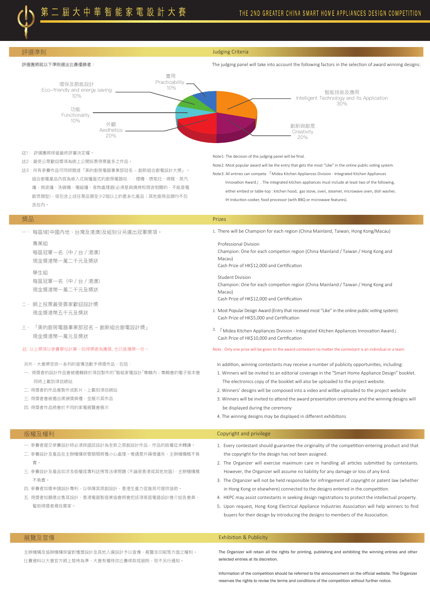部選準則 Judging Criteria



- 註1: 評選團將保留最終評審決定權。
- 註2:最受公眾歡迎獎項為網上公開投票得票最多之作品。 註3:所有參賽作品可同時競遂「美的廚房電器事業部冠名 - 創新組合廚電設計大奬」。 組合廚電產品內容為嵌入式與檯面式的廚房電器如::煙機、燃氣灶、烤箱、蒸汽

爐、微波爐、洗碗機,電磁爐、食物處理器(必須是與燒烤和微波相關的,不能是電 飯煲類型),或包含上述任意品類至少2個以上的套系化產品;其他廚房品類均不包 含在內。

一、 每區域(中國內地、台灣及港澳)及組別分另選出冠軍奬項。

專業組 每區冠軍一名(中/台/港澳) 現金獎港幣一萬二千元及奬狀 學生組 每區冠軍一名(中/台/港澳) 現金獎港幣一萬二千元及奬狀

- 二、 網上投票最受買家歡迎設計奬 現金獎港幣五千元及奬狀
- 三、 「美的廚房電器事業部冠名 創新組合廚電設計奬」 現金獎港幣一萬元及奬狀

- 另外,大會獎安排一系列的宣傳活動予得獎作品,包括:
- 一. 得獎者的設計作品會被邀輯錄於項目製作的"智能家電設計"專輯內;專輯會的電子版本會 同時上載到項目網站
- 二. 得獎者的作品會製作成影片,上載到項目網站
- 三. 得獎者會被邀出席頒獎典禮,並展示其作品
- 四. 得獎者作品將會於不同的家電展覽會展示

## Note1: The decision of the judging panel will be final.

Note2: Most popular award will be the entry that gets the most "Like" in the online public voting system.

Note3: All entries can compete 「Midea Kitchen Appliances Division - Integrated Kitchen Appliances

 Innovation Award」. The integrated kitchen appliances must include at least two of the following, either embed or table-top : kitchen hood, gas stove, oven, steamer, microwave oven, dish washer, IH Induction cooker, food processor (with BBQ or microwave features).

## 奬品 Prizes

1. There will be Champion for each region (China Mainland, Taiwan, Hong Kong/Macau)

Professional Division Champion: One for each competion region (China Mainland / Taiwan / Hong Kong and Macau) Cash Prize of HK\$12,000 and Certification

Student Division

Champion: One for each competion region (China Mainland / Taiwan / Hong Kong and Macau)

Cash Prize of HK\$12,000 and Certification

- 2. Most Popular Design Award (Entry that received most "Like" in the online public voting system) Cash Prize of HK\$5,000 and Certification
- 3. 「Midea Kitchen Appliances Division Integrated Kitchen Appliances Innovation Award」 Cash Prize of HK\$10,000 and Certification

## 註: 以上奬項以參賽單位計算,如得獎者為團隊, 也只能獲獎一份。 Note : Only one prize will be given to the award contestant no matter the contestant is an individual or a team.

In addition, winning contestants may receive a number of publicity opportunities, including:

- 1. Winners will be invited to an editorial coverage in the "Smart Home Appliance Design" booklet. The electronics copy of the booklet will also be uploaded to the project website.
- 2. Winners' designs will be composed into a video and willbe uploaded to the project website
- 3. Winners will be invited to attend the award presentation ceremony and the winning designs will be displayed during the ceremony
- 4. The winning designs may be displayed in different exhibitions

- 一. 參賽者提交參賽設計時必須保證該設計為全新之原創設計作品,作品的版權迄未轉讓。
- 二. 參賽設計及產品在主辦機構保管期間將獲小心處理。惟遇意外損壞遺失,主辦機構概不負 責。
- 三. 參賽設計及產品如涉及版權或專利註冊等法律問題 (不論是香港或其他地區),主辦機構概 不負責。
- 四. 參賽者如需申請設計專利, 以保障其原創設計, 香港生產力促進局可提供協助。
- 五. 得獎者如願意出售其設計,香港電器製造業協會將會把該項家庭電器設計推介給各會員, 幫助得獎者尋找買家。

## 版權及權利 Copyright and privilege

- 1. Every contestant should guarantee the originality of the competition-entering product and that the copyright for the design has not been assigned.
- 2. The Organizer will exercise maximum care in handling all articles submitted by contestants. However, the Organizer will assume no liability for any damage or loss of any kind.
- 3. The Organizer will not be held responsible for infringement of copyright or patent law (whether in Hong Kong or elsewhere) connected to the designs entered in the competition.
- 4. HKPC may assist contestants in seeking design registrations to protect the intellectual property.
- 5. Upon request, Hong Kong Electrical Appliance Industries Association will help winners to find buyers for their design by introducing the designs to members of the Association.

主辦機構及協辦機構保留對獲獎設計及其他入選設計予以宣傳、展覽及印刷等方面之權利。 比賽資料以大會官方網上發佈為準,大會有權修改比賽條款或細則,恕不另行通知。

## 展覽及宣傳 Exhibition & Publicity

The Organizer will retain all the rights for printing, publishing and exhibiting the winning entries and other selected entries at its discretion.

Information of the competition should be referred to the announcement on the official website. The Organizer reserves the rights to revise the terms and conditions of the competition without further notice.